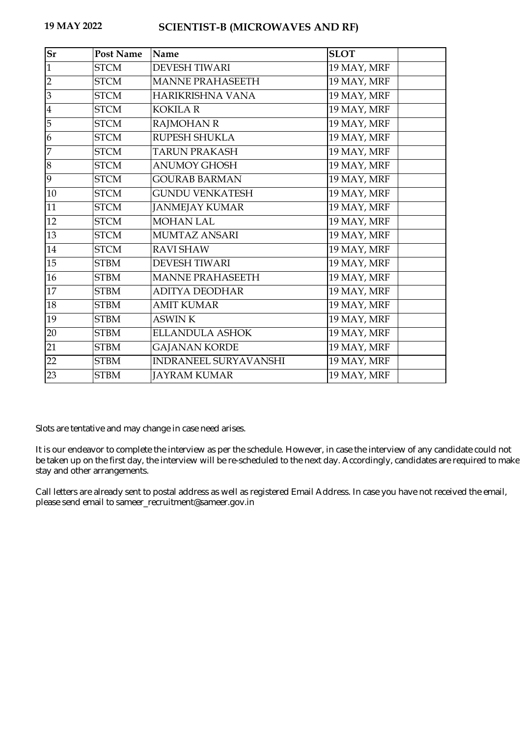## **19 MAY 2022 SCIENTIST-B (MICROWAVES AND RF)**

| $S_{r}$                 | <b>Post Name</b> | Name                         | <b>SLOT</b> |
|-------------------------|------------------|------------------------------|-------------|
| $\mathbf{1}$            | <b>STCM</b>      | <b>DEVESH TIWARI</b>         | 19 MAY, MRF |
| $\overline{2}$          | <b>STCM</b>      | <b>MANNE PRAHASEETH</b>      | 19 MAY, MRF |
| $\overline{3}$          | <b>STCM</b>      | HARIKRISHNA VANA             | 19 MAY, MRF |
| $\overline{\mathbf{4}}$ | <b>STCM</b>      | <b>KOKILA R</b>              | 19 MAY, MRF |
| 5                       | <b>STCM</b>      | <b>RAJMOHAN R</b>            | 19 MAY, MRF |
| 6                       | <b>STCM</b>      | <b>RUPESH SHUKLA</b>         | 19 MAY, MRF |
| 7                       | <b>STCM</b>      | <b>TARUN PRAKASH</b>         | 19 MAY, MRF |
| 8                       | <b>STCM</b>      | <b>ANUMOY GHOSH</b>          | 19 MAY, MRF |
| 9                       | <b>STCM</b>      | <b>GOURAB BARMAN</b>         | 19 MAY, MRF |
| 10                      | <b>STCM</b>      | <b>GUNDU VENKATESH</b>       | 19 MAY, MRF |
| 11                      | <b>STCM</b>      | <b>JANMEJAY KUMAR</b>        | 19 MAY, MRF |
| 12                      | <b>STCM</b>      | <b>MOHAN LAL</b>             | 19 MAY, MRF |
| 13                      | <b>STCM</b>      | <b>MUMTAZ ANSARI</b>         | 19 MAY, MRF |
| 14                      | <b>STCM</b>      | <b>RAVI SHAW</b>             | 19 MAY, MRF |
| 15                      | <b>STBM</b>      | <b>DEVESH TIWARI</b>         | 19 MAY, MRF |
| 16                      | <b>STBM</b>      | <b>MANNE PRAHASEETH</b>      | 19 MAY, MRF |
| 17                      | <b>STBM</b>      | <b>ADITYA DEODHAR</b>        | 19 MAY, MRF |
| 18                      | <b>STBM</b>      | <b>AMIT KUMAR</b>            | 19 MAY, MRF |
| 19                      | <b>STBM</b>      | <b>ASWINK</b>                | 19 MAY, MRF |
| 20                      | <b>STBM</b>      | <b>ELLANDULA ASHOK</b>       | 19 MAY, MRF |
| 21                      | <b>STBM</b>      | <b>GAJANAN KORDE</b>         | 19 MAY, MRF |
| 22                      | <b>STBM</b>      | <b>INDRANEEL SURYAVANSHI</b> | 19 MAY, MRF |
| 23                      | <b>STBM</b>      | <b>JAYRAM KUMAR</b>          | 19 MAY, MRF |

Slots are tentative and may change in case need arises.

It is our endeavor to complete the interview as per the schedule. However, in case the interview of any candidate could not be taken up on the first day, the interview will be re-scheduled to the next day. Accordingly, candidates are required to make stay and other arrangements.

Call letters are already sent to postal address as well as registered Email Address. In case you have not received the email, please send email to sameer\_recruitment@sameer.gov.in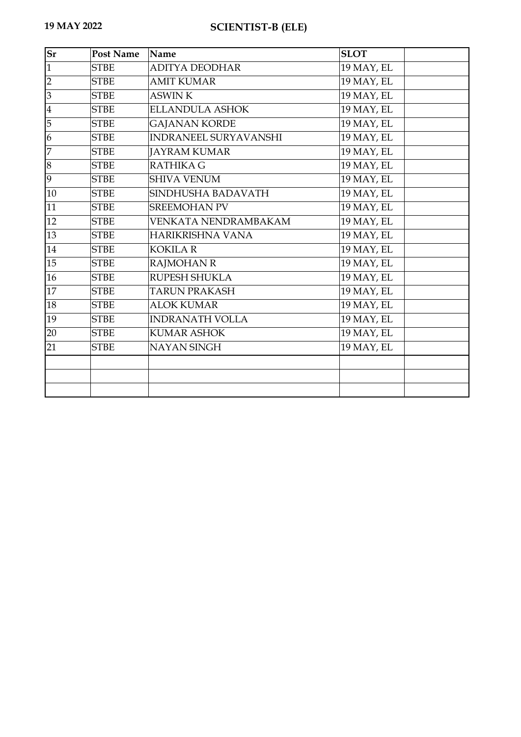| Sr             | <b>Post Name</b> | Name                         | <b>SLOT</b> |
|----------------|------------------|------------------------------|-------------|
| $\mathbf{1}$   | <b>STBE</b>      | <b>ADITYA DEODHAR</b>        | 19 MAY, EL  |
| $\overline{2}$ | <b>STBE</b>      | <b>AMIT KUMAR</b>            | 19 MAY, EL  |
| 3              | <b>STBE</b>      | <b>ASWINK</b>                | 19 MAY, EL  |
| $\bf 4$        | <b>STBE</b>      | <b>ELLANDULA ASHOK</b>       | 19 MAY, EL  |
| $\overline{5}$ | <b>STBE</b>      | <b>GAJANAN KORDE</b>         | 19 MAY, EL  |
| 6              | <b>STBE</b>      | <b>INDRANEEL SURYAVANSHI</b> | 19 MAY, EL  |
| $\overline{7}$ | <b>STBE</b>      | <b>JAYRAM KUMAR</b>          | 19 MAY, EL  |
| 8              | <b>STBE</b>      | <b>RATHIKA G</b>             | 19 MAY, EL  |
| 9              | <b>STBE</b>      | <b>SHIVA VENUM</b>           | 19 MAY, EL  |
| $10\,$         | <b>STBE</b>      | SINDHUSHA BADAVATH           | 19 MAY, EL  |
| 11             | <b>STBE</b>      | <b>SREEMOHAN PV</b>          | 19 MAY, EL  |
| 12             | <b>STBE</b>      | VENKATA NENDRAMBAKAM         | 19 MAY, EL  |
| 13             | <b>STBE</b>      | HARIKRISHNA VANA             | 19 MAY, EL  |
| 14             | <b>STBE</b>      | <b>KOKILA R</b>              | 19 MAY, EL  |
| 15             | <b>STBE</b>      | <b>RAJMOHAN R</b>            | 19 MAY, EL  |
| 16             | <b>STBE</b>      | RUPESH SHUKLA                | 19 MAY, EL  |
| 17             | <b>STBE</b>      | <b>TARUN PRAKASH</b>         | 19 MAY, EL  |
| 18             | <b>STBE</b>      | <b>ALOK KUMAR</b>            | 19 MAY, EL  |
| 19             | <b>STBE</b>      | <b>INDRANATH VOLLA</b>       | 19 MAY, EL  |
| 20             | <b>STBE</b>      | <b>KUMAR ASHOK</b>           | 19 MAY, EL  |
| 21             | <b>STBE</b>      | NAYAN SINGH                  | 19 MAY, EL  |
|                |                  |                              |             |
|                |                  |                              |             |
|                |                  |                              |             |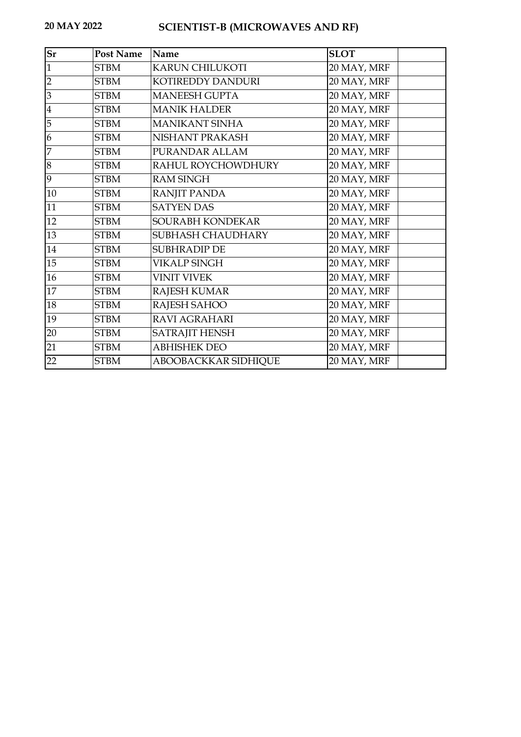## **20 MAY 2022 SCIENTIST-B (MICROWAVES AND RF)**

| <b>Sr</b>      | <b>Post Name</b> | Name                  | <b>SLOT</b> |
|----------------|------------------|-----------------------|-------------|
| $\mathbf{1}$   | <b>STBM</b>      | KARUN CHILUKOTI       | 20 MAY, MRF |
| $\overline{2}$ | <b>STBM</b>      | KOTIREDDY DANDURI     | 20 MAY, MRF |
| 3              | <b>STBM</b>      | <b>MANEESH GUPTA</b>  | 20 MAY, MRF |
| $\overline{4}$ | <b>STBM</b>      | <b>MANIK HALDER</b>   | 20 MAY, MRF |
| 5              | <b>STBM</b>      | <b>MANIKANT SINHA</b> | 20 MAY, MRF |
| 6              | <b>STBM</b>      | NISHANT PRAKASH       | 20 MAY, MRF |
| $\overline{7}$ | <b>STBM</b>      | PURANDAR ALLAM        | 20 MAY, MRF |
| 8              | <b>STBM</b>      | RAHUL ROYCHOWDHURY    | 20 MAY, MRF |
| 9              | <b>STBM</b>      | <b>RAM SINGH</b>      | 20 MAY, MRF |
| 10             | <b>STBM</b>      | <b>RANJIT PANDA</b>   | 20 MAY, MRF |
| 11             | <b>STBM</b>      | <b>SATYEN DAS</b>     | 20 MAY, MRF |
| 12             | <b>STBM</b>      | SOURABH KONDEKAR      | 20 MAY, MRF |
| 13             | <b>STBM</b>      | SUBHASH CHAUDHARY     | 20 MAY, MRF |
| 14             | <b>STBM</b>      | <b>SUBHRADIP DE</b>   | 20 MAY, MRF |
| 15             | <b>STBM</b>      | <b>VIKALP SINGH</b>   | 20 MAY, MRF |
| 16             | <b>STBM</b>      | <b>VINIT VIVEK</b>    | 20 MAY, MRF |
| 17             | <b>STBM</b>      | RAJESH KUMAR          | 20 MAY, MRF |
| 18             | <b>STBM</b>      | RAJESH SAHOO          | 20 MAY, MRF |
| 19             | <b>STBM</b>      | <b>RAVI AGRAHARI</b>  | 20 MAY, MRF |
| 20             | <b>STBM</b>      | <b>SATRAJIT HENSH</b> | 20 MAY, MRF |
| 21             | <b>STBM</b>      | <b>ABHISHEK DEO</b>   | 20 MAY, MRF |
| 22             | <b>STBM</b>      | ABOOBACKKAR SIDHIQUE  | 20 MAY, MRF |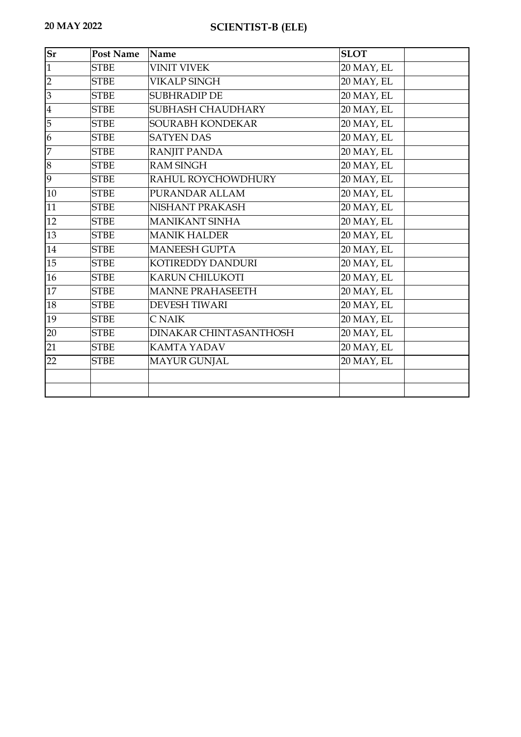| <b>Sr</b>      | <b>Post Name</b> | Name                          | <b>SLOT</b> |
|----------------|------------------|-------------------------------|-------------|
| $\mathbf{1}$   | <b>STBE</b>      | <b>VINIT VIVEK</b>            | 20 MAY, EL  |
| $\overline{2}$ | <b>STBE</b>      | <b>VIKALP SINGH</b>           | 20 MAY, EL  |
| 3              | <b>STBE</b>      | <b>SUBHRADIP DE</b>           | 20 MAY, EL  |
| $\bf 4$        | <b>STBE</b>      | SUBHASH CHAUDHARY             | 20 MAY, EL  |
| 5              | <b>STBE</b>      | SOURABH KONDEKAR              | 20 MAY, EL  |
| 6              | <b>STBE</b>      | <b>SATYEN DAS</b>             | 20 MAY, EL  |
| $\overline{7}$ | <b>STBE</b>      | <b>RANJIT PANDA</b>           | 20 MAY, EL  |
| 8              | <b>STBE</b>      | <b>RAM SINGH</b>              | 20 MAY, EL  |
| 9              | <b>STBE</b>      | RAHUL ROYCHOWDHURY            | 20 MAY, EL  |
| $10\,$         | <b>STBE</b>      | PURANDAR ALLAM                | 20 MAY, EL  |
| 11             | <b>STBE</b>      | NISHANT PRAKASH               | 20 MAY, EL  |
| 12             | <b>STBE</b>      | <b>MANIKANT SINHA</b>         | 20 MAY, EL  |
| 13             | <b>STBE</b>      | <b>MANIK HALDER</b>           | 20 MAY, EL  |
| 14             | <b>STBE</b>      | <b>MANEESH GUPTA</b>          | 20 MAY, EL  |
| 15             | <b>STBE</b>      | KOTIREDDY DANDURI             | 20 MAY, EL  |
| 16             | <b>STBE</b>      | <b>KARUN CHILUKOTI</b>        | 20 MAY, EL  |
| 17             | <b>STBE</b>      | <b>MANNE PRAHASEETH</b>       | 20 MAY, EL  |
| 18             | <b>STBE</b>      | <b>DEVESH TIWARI</b>          | 20 MAY, EL  |
| 19             | <b>STBE</b>      | <b>CNAIK</b>                  | 20 MAY, EL  |
| 20             | <b>STBE</b>      | <b>DINAKAR CHINTASANTHOSH</b> | 20 MAY, EL  |
| 21             | <b>STBE</b>      | <b>KAMTA YADAV</b>            | 20 MAY, EL  |
| 22             | <b>STBE</b>      | <b>MAYUR GUNJAL</b>           | 20 MAY, EL  |
|                |                  |                               |             |
|                |                  |                               |             |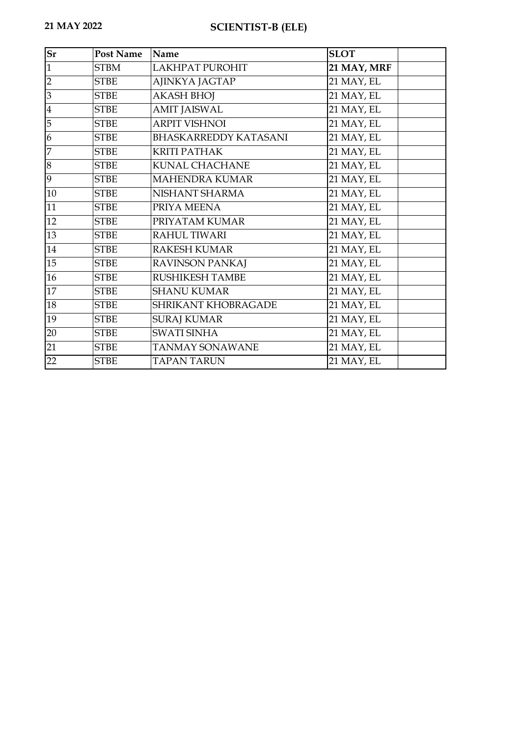| Sr             | <b>Post Name</b> | Name                         | <b>SLOT</b> |
|----------------|------------------|------------------------------|-------------|
| $\mathbf{1}$   | <b>STBM</b>      | LAKHPAT PUROHIT              | 21 MAY, MRF |
| $\overline{2}$ | <b>STBE</b>      | AJINKYA JAGTAP               | 21 MAY, EL  |
| 3              | <b>STBE</b>      | <b>AKASH BHOJ</b>            | 21 MAY, EL  |
| $\overline{4}$ | <b>STBE</b>      | <b>AMIT JAISWAL</b>          | 21 MAY, EL  |
| 5              | <b>STBE</b>      | <b>ARPIT VISHNOI</b>         | 21 MAY, EL  |
| 6              | <b>STBE</b>      | <b>BHASKARREDDY KATASANI</b> | 21 MAY, EL  |
| 7              | <b>STBE</b>      | <b>KRITI PATHAK</b>          | 21 MAY, EL  |
| 8              | <b>STBE</b>      | <b>KUNAL CHACHANE</b>        | 21 MAY, EL  |
| 9              | <b>STBE</b>      | <b>MAHENDRA KUMAR</b>        | 21 MAY, EL  |
| 10             | <b>STBE</b>      | NISHANT SHARMA               | 21 MAY, EL  |
| 11             | <b>STBE</b>      | PRIYA MEENA                  | 21 MAY, EL  |
| 12             | <b>STBE</b>      | PRIYATAM KUMAR               | 21 MAY, EL  |
| 13             | <b>STBE</b>      | <b>RAHUL TIWARI</b>          | 21 MAY, EL  |
| 14             | <b>STBE</b>      | <b>RAKESH KUMAR</b>          | 21 MAY, EL  |
| 15             | <b>STBE</b>      | <b>RAVINSON PANKAJ</b>       | 21 MAY, EL  |
| 16             | <b>STBE</b>      | <b>RUSHIKESH TAMBE</b>       | 21 MAY, EL  |
| 17             | <b>STBE</b>      | <b>SHANU KUMAR</b>           | 21 MAY, EL  |
| 18             | <b>STBE</b>      | SHRIKANT KHOBRAGADE          | 21 MAY, EL  |
| 19             | <b>STBE</b>      | <b>SURAJ KUMAR</b>           | 21 MAY, EL  |
| 20             | <b>STBE</b>      | <b>SWATI SINHA</b>           | 21 MAY, EL  |
| 21             | <b>STBE</b>      | <b>TANMAY SONAWANE</b>       | 21 MAY, EL  |
| 22             | <b>STBE</b>      | <b>TAPAN TARUN</b>           | 21 MAY, EL  |